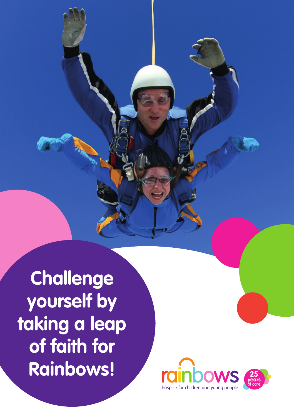**Challenge yourself by taking a leap of faith for Rainbows!**

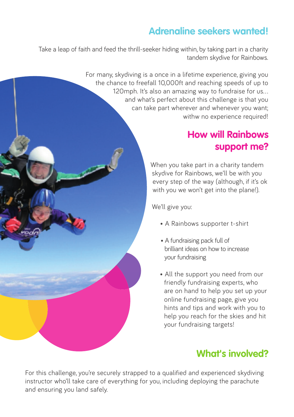## **Adrenaline seekers wanted!**

Take a leap of faith and feed the thrill-seeker hiding within, by taking part in a charity tandem skydive for Rainbows.

> For many, skydiving is a once in a lifetime experience, giving you the chance to freefall 10,000ft and reaching speeds of up to 120mph. It's also an amazing way to fundraise for us... and what's perfect about this challenge is that you can take part wherever and whenever you want; withw no experience required!

### **How will Rainbows support me?**

When you take part in a charity tandem skydive for Rainbows, we'll be with you every step of the way (although, if it's ok with you we won't get into the plane!).

We'll give you:

- A Rainbows supporter t-shirt
- A fundraising pack full of brilliant ideas on how to increase your fundraising
- All the support you need from our friendly fundraising experts, who are on hand to help you set up your online fundraising page, give you hints and tips and work with you to help you reach for the skies and hit your fundraising targets!

## **What's involved?**

For this challenge, you're securely strapped to a qualified and experienced skydiving instructor who'll take care of everything for you, including deploying the parachute and ensuring you land safely.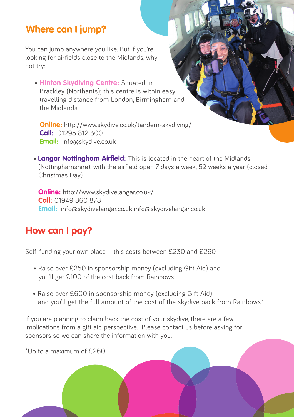#### **Where can I jump?**

You can jump anywhere you like. But if you're looking for airfields close to the Midlands, why not try:

 • **Hinton Skydiving Centre:** Situated in Brackley (Northants); this centre is within easy travelling distance from London, Birmingham and the Midlands

**Online:** http://www.skydive.co.uk/tandem-skydiving/ **Call:** 01295 812 300 **Email:** info@skydive.co.uk

• **Langar Nottingham Airfield:** This is located in the heart of the Midlands (Nottinghamshire); with the airfield open 7 days a week, 52 weeks a year (closed Christmas Day)

**Online:** http://www.skydivelangar.co.uk/ **Call:** 01949 860 878 **Email:** info@skydivelangar.co.uk info@skydivelangar.co.uk

## **How can I pay?**

Self-funding your own place – this costs between £230 and £260

- Raise over £250 in sponsorship money (excluding Gift Aid) and you'll get £100 of the cost back from Rainbows
- Raise over £600 in sponsorship money (excluding Gift Aid) and you'll get the full amount of the cost of the skydive back from Rainbows\*

If you are planning to claim back the cost of your skydive, there are a few implications from a gift aid perspective. Please contact us before asking for sponsors so we can share the information with you.

\*Up to a maximum of £260